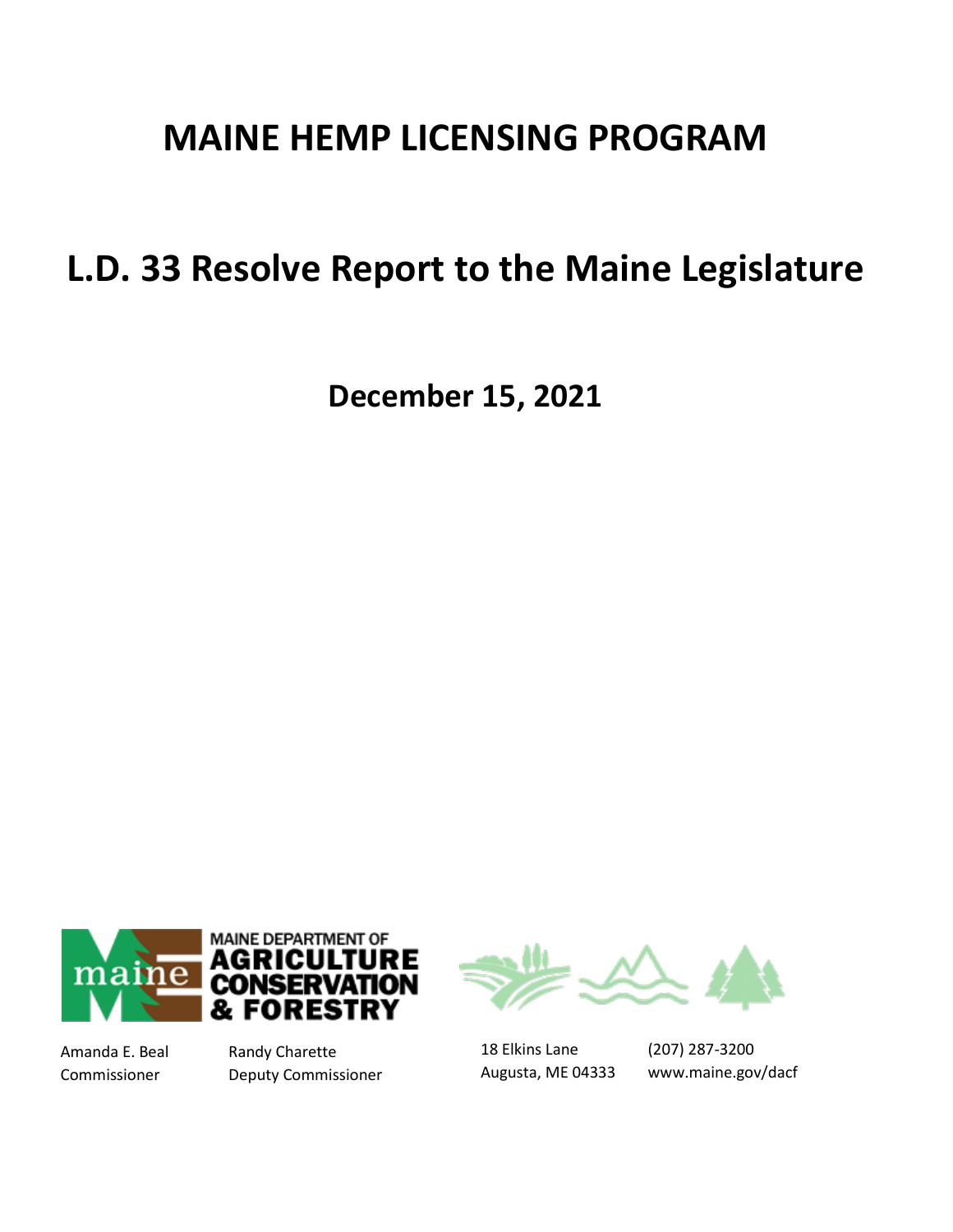# **MAINE HEMP LICENSING PROGRAM**

# **L.D. 33 Resolve Report to the Maine Legislature**

**December 15, 2021**



Amanda E. Beal Randy Charette Commissioner Deputy Commissioner



18 Elkins Lane Augusta, ME 04333

(207) 287-3200 www.maine.gov/dacf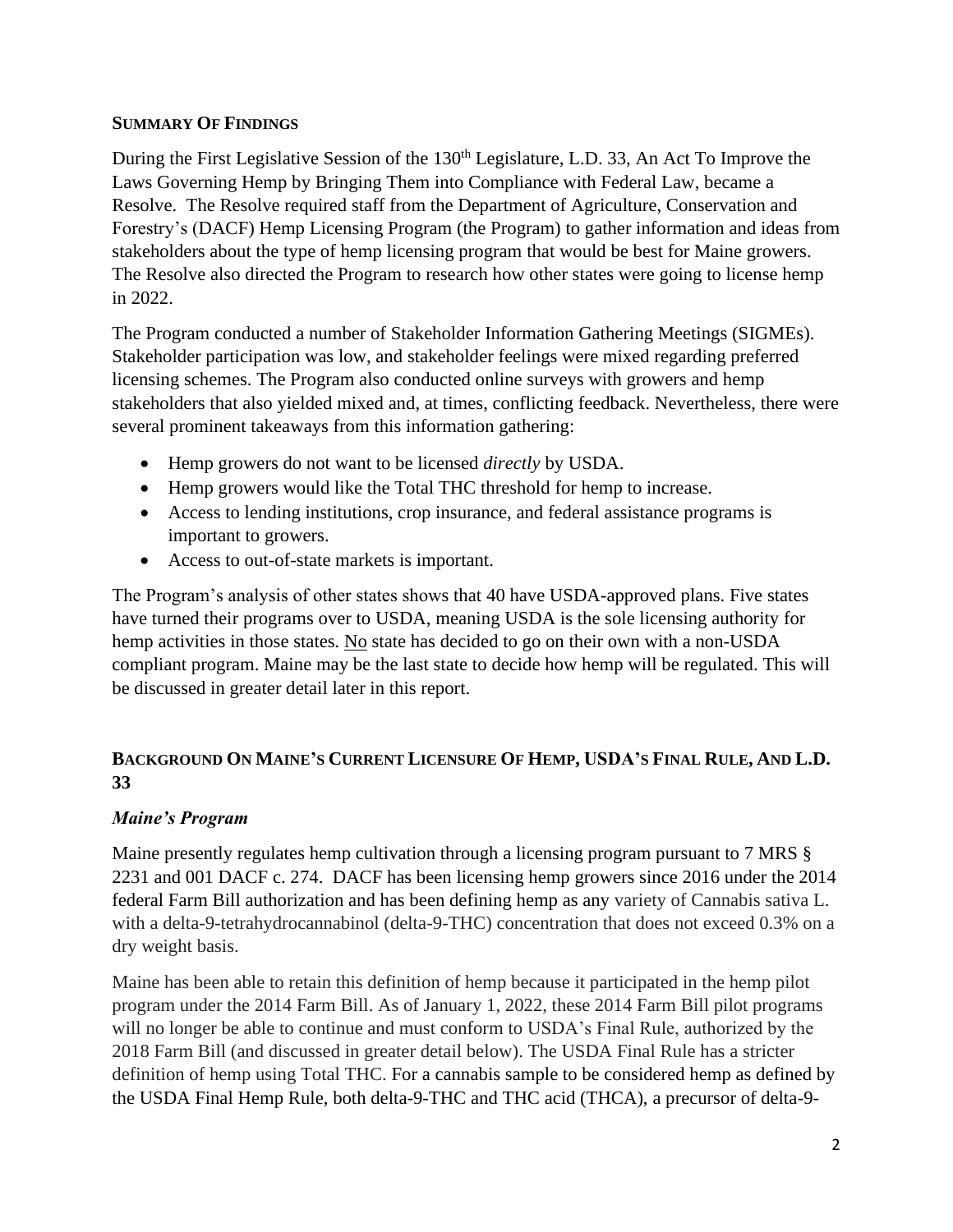### **SUMMARY OF FINDINGS**

During the First Legislative Session of the 130<sup>th</sup> Legislature, L.D. 33, An Act To Improve the Laws Governing Hemp by Bringing Them into Compliance with Federal Law, became a Resolve. The Resolve required staff from the Department of Agriculture, Conservation and Forestry's (DACF) Hemp Licensing Program (the Program) to gather information and ideas from stakeholders about the type of hemp licensing program that would be best for Maine growers. The Resolve also directed the Program to research how other states were going to license hemp in 2022.

The Program conducted a number of Stakeholder Information Gathering Meetings (SIGMEs). Stakeholder participation was low, and stakeholder feelings were mixed regarding preferred licensing schemes. The Program also conducted online surveys with growers and hemp stakeholders that also yielded mixed and, at times, conflicting feedback. Nevertheless, there were several prominent takeaways from this information gathering:

- Hemp growers do not want to be licensed *directly* by USDA.
- Hemp growers would like the Total THC threshold for hemp to increase.
- Access to lending institutions, crop insurance, and federal assistance programs is important to growers.
- Access to out-of-state markets is important.

The Program's analysis of other states shows that 40 have USDA-approved plans. Five states have turned their programs over to USDA, meaning USDA is the sole licensing authority for hemp activities in those states. No state has decided to go on their own with a non-USDA compliant program. Maine may be the last state to decide how hemp will be regulated. This will be discussed in greater detail later in this report.

# BACKGROUND ON MAINE'S CURRENT LICENSURE OF HEMP, USDA'S FINAL RULE, AND L.D. **33**

# *Maine's Program*

Maine presently regulates hemp cultivation through a licensing program pursuant to 7 MRS § 2231 and 001 DACF c. 274. DACF has been licensing hemp growers since 2016 under the 2014 federal Farm Bill authorization and has been defining hemp as any variety of Cannabis sativa L. with a delta-9-tetrahydrocannabinol (delta-9-THC) concentration that does not exceed 0.3% on a dry weight basis.

Maine has been able to retain this definition of hemp because it participated in the hemp pilot program under the 2014 Farm Bill. As of January 1, 2022, these 2014 Farm Bill pilot programs will no longer be able to continue and must conform to USDA's Final Rule, authorized by the 2018 Farm Bill (and discussed in greater detail below). The USDA Final Rule has a stricter definition of hemp using Total THC. For a cannabis sample to be considered hemp as defined by the USDA Final Hemp Rule, both delta-9-THC and THC acid (THCA), a precursor of delta-9-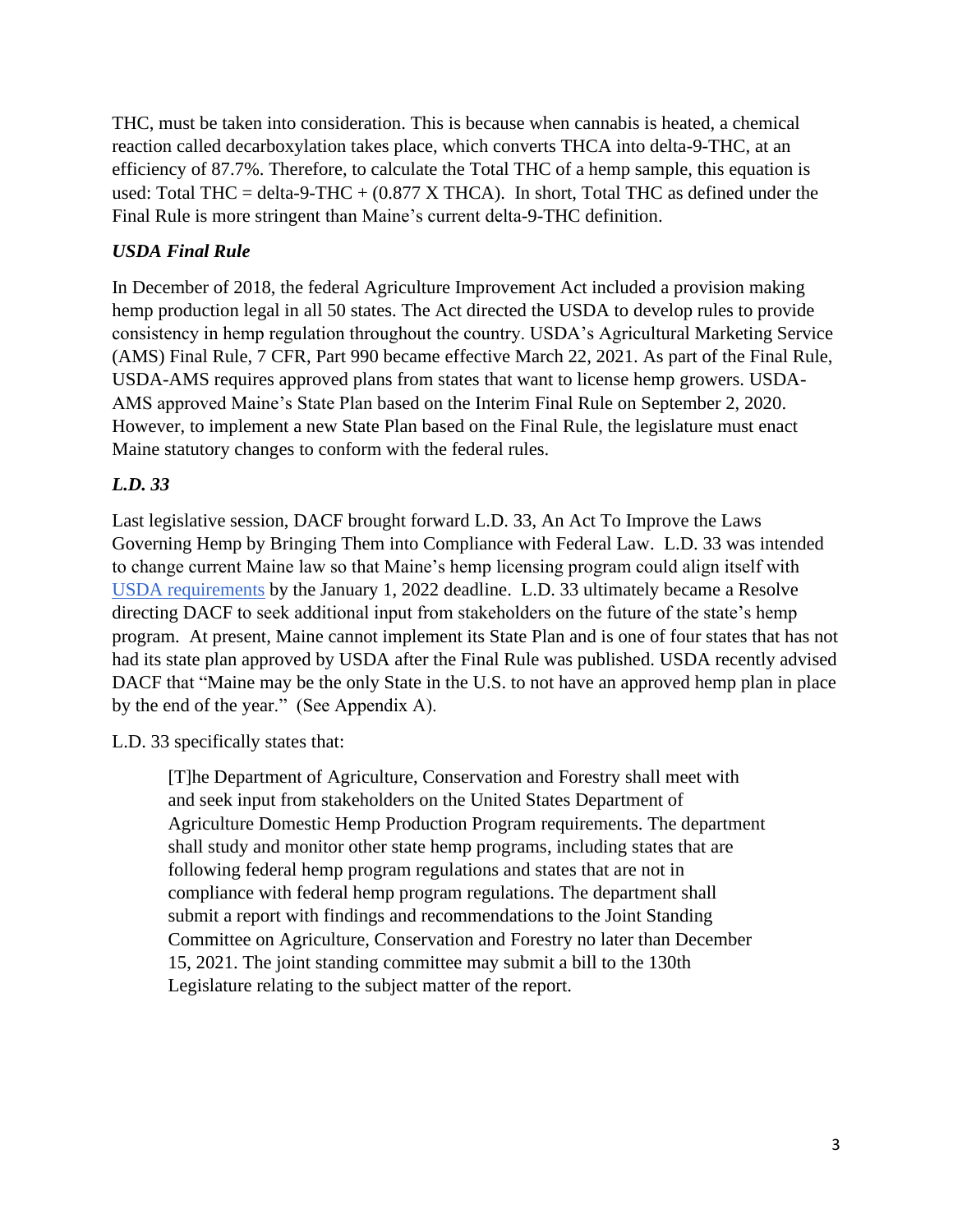THC, must be taken into consideration. This is because when cannabis is heated, a chemical reaction called decarboxylation takes place, which converts THCA into delta-9-THC, at an efficiency of 87.7%. Therefore, to calculate the Total THC of a hemp sample, this equation is used: Total THC = delta-9-THC +  $(0.877 \text{ X} \text{THCA})$ . In short, Total THC as defined under the Final Rule is more stringent than Maine's current delta-9-THC definition.

# *USDA Final Rule*

In December of 2018, the federal Agriculture Improvement Act included a provision making hemp production legal in all 50 states. The Act directed the USDA to develop rules to provide consistency in hemp regulation throughout the country. USDA's Agricultural Marketing Service (AMS) Final Rule, 7 CFR, Part 990 became effective March 22, 2021. As part of the Final Rule, USDA-AMS requires approved plans from states that want to license hemp growers. USDA-AMS approved Maine's State Plan based on the Interim Final Rule on September 2, 2020. However, to implement a new State Plan based on the Final Rule, the legislature must enact Maine statutory changes to conform with the federal rules.

# *L.D. 33*

Last legislative session, DACF brought forward L.D. 33, An Act To Improve the Laws Governing Hemp by Bringing Them into Compliance with Federal Law. L.D. 33 was intended to change current Maine law so that Maine's hemp licensing program could align itself with [USDA requirements](https://lnks.gd/l/eyJhbGciOiJIUzI1NiJ9.eyJidWxsZXRpbl9saW5rX2lkIjoxMDMsInVyaSI6ImJwMjpjbGljayIsImJ1bGxldGluX2lkIjoiMjAyMTA4MjQuNDQ5NTA2MzEiLCJ1cmwiOiJodHRwczovL3d3dy5hbXMudXNkYS5nb3YvcnVsZXMtcmVndWxhdGlvbnMvaGVtcCJ9.wt-v3irstA7AQisB7eJUaKLsDPWNk10IBVEFqTJvpzg/s/984894936/br/111310927765-l) by the January 1, 2022 deadline. L.D. 33 ultimately became a Resolve directing DACF to seek additional input from stakeholders on the future of the state's hemp program. At present, Maine cannot implement its State Plan and is one of four states that has not had its state plan approved by USDA after the Final Rule was published. USDA recently advised DACF that "Maine may be the only State in the U.S. to not have an approved hemp plan in place by the end of the year." (See Appendix A).

L.D. 33 specifically states that:

[T]he Department of Agriculture, Conservation and Forestry shall meet with and seek input from stakeholders on the United States Department of Agriculture Domestic Hemp Production Program requirements. The department shall study and monitor other state hemp programs, including states that are following federal hemp program regulations and states that are not in compliance with federal hemp program regulations. The department shall submit a report with findings and recommendations to the Joint Standing Committee on Agriculture, Conservation and Forestry no later than December 15, 2021. The joint standing committee may submit a bill to the 130th Legislature relating to the subject matter of the report.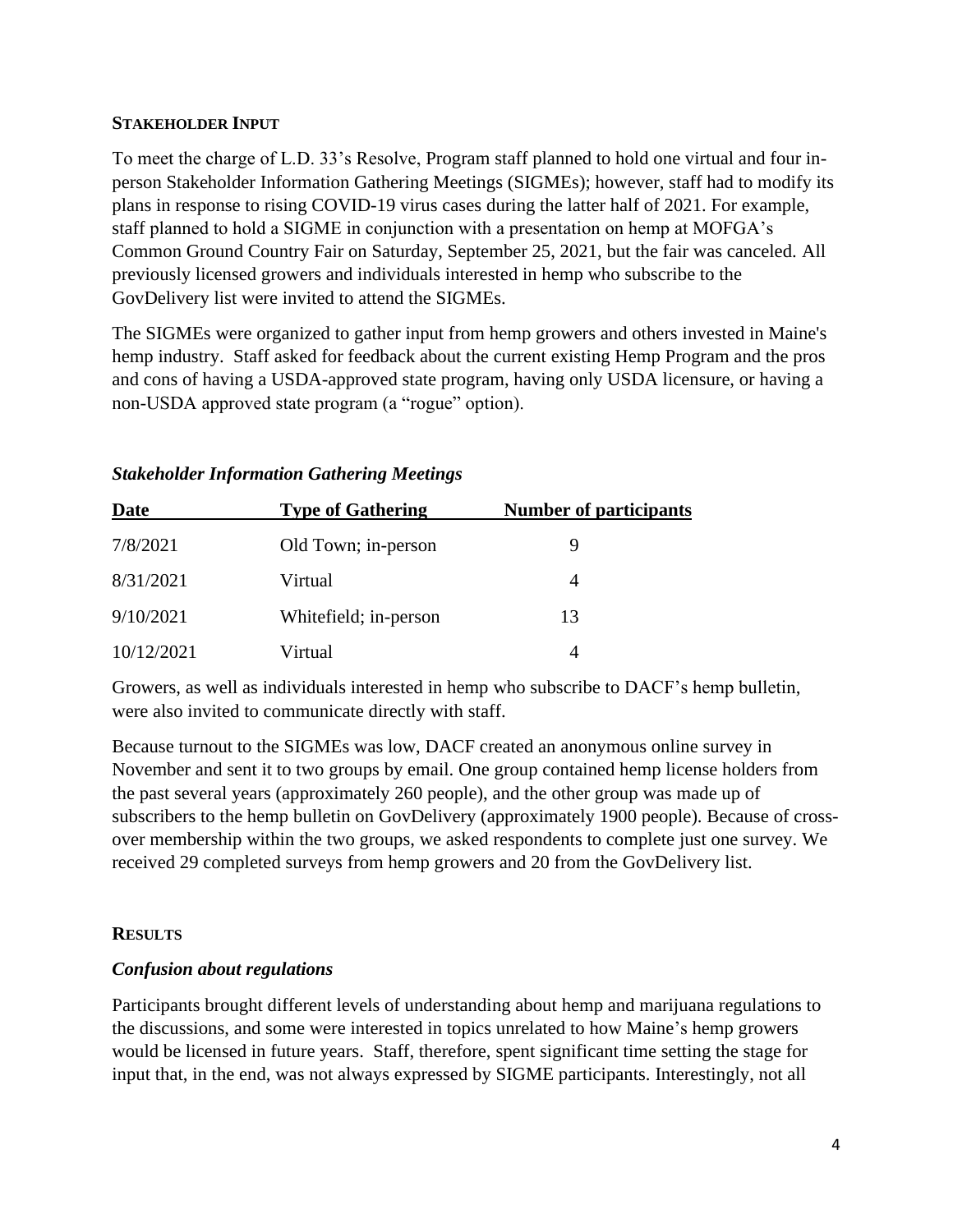#### **STAKEHOLDER INPUT**

To meet the charge of L.D. 33's Resolve, Program staff planned to hold one virtual and four inperson Stakeholder Information Gathering Meetings (SIGMEs); however, staff had to modify its plans in response to rising COVID-19 virus cases during the latter half of 2021. For example, staff planned to hold a SIGME in conjunction with a presentation on hemp at MOFGA's Common Ground Country Fair on Saturday, September 25, 2021, but the fair was canceled. All previously licensed growers and individuals interested in hemp who subscribe to the GovDelivery list were invited to attend the SIGMEs.

The SIGMEs were organized to gather input from hemp growers and others invested in Maine's hemp industry. Staff asked for feedback about the current existing Hemp Program and the pros and cons of having a USDA-approved state program, having only USDA licensure, or having a non-USDA approved state program (a "rogue" option).

| Date       | <b>Type of Gathering</b> | <b>Number of participants</b> |  |
|------------|--------------------------|-------------------------------|--|
| 7/8/2021   | Old Town; in-person      |                               |  |
| 8/31/2021  | Virtual                  | 4                             |  |
| 9/10/2021  | White field; in-person   | 13                            |  |
| 10/12/2021 | Virtual                  |                               |  |

#### *Stakeholder Information Gathering Meetings*

Growers, as well as individuals interested in hemp who subscribe to DACF's hemp bulletin, were also invited to communicate directly with staff.

Because turnout to the SIGMEs was low, DACF created an anonymous online survey in November and sent it to two groups by email. One group contained hemp license holders from the past several years (approximately 260 people), and the other group was made up of subscribers to the hemp bulletin on GovDelivery (approximately 1900 people). Because of crossover membership within the two groups, we asked respondents to complete just one survey. We received 29 completed surveys from hemp growers and 20 from the GovDelivery list.

### **RESULTS**

### *Confusion about regulations*

Participants brought different levels of understanding about hemp and marijuana regulations to the discussions, and some were interested in topics unrelated to how Maine's hemp growers would be licensed in future years. Staff, therefore, spent significant time setting the stage for input that, in the end, was not always expressed by SIGME participants. Interestingly, not all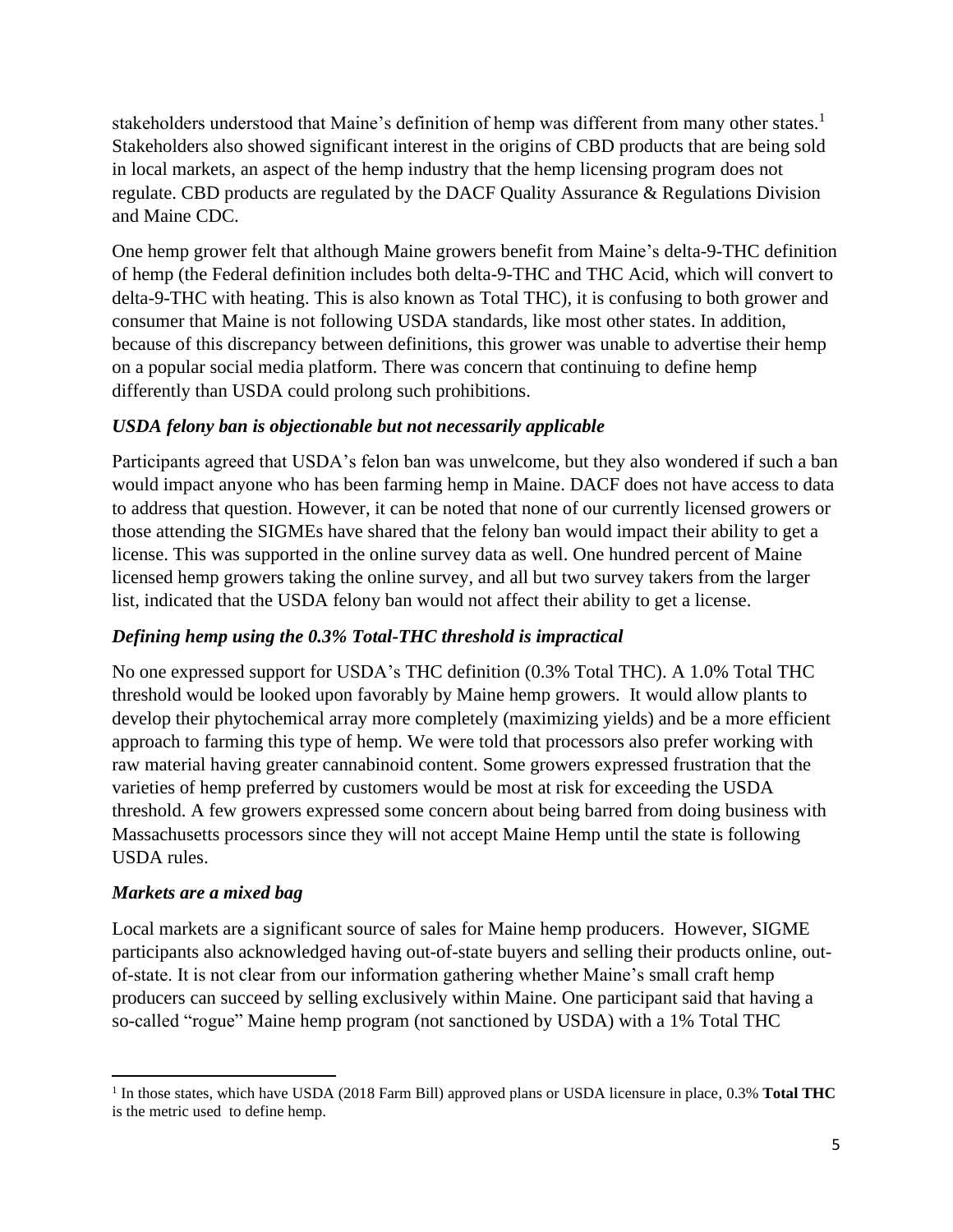stakeholders understood that Maine's definition of hemp was different from many other states.<sup>1</sup> Stakeholders also showed significant interest in the origins of CBD products that are being sold in local markets, an aspect of the hemp industry that the hemp licensing program does not regulate. CBD products are regulated by the DACF Quality Assurance & Regulations Division and Maine CDC.

One hemp grower felt that although Maine growers benefit from Maine's delta-9-THC definition of hemp (the Federal definition includes both delta-9-THC and THC Acid, which will convert to delta-9-THC with heating. This is also known as Total THC), it is confusing to both grower and consumer that Maine is not following USDA standards, like most other states. In addition, because of this discrepancy between definitions, this grower was unable to advertise their hemp on a popular social media platform. There was concern that continuing to define hemp differently than USDA could prolong such prohibitions.

# *USDA felony ban is objectionable but not necessarily applicable*

Participants agreed that USDA's felon ban was unwelcome, but they also wondered if such a ban would impact anyone who has been farming hemp in Maine. DACF does not have access to data to address that question. However, it can be noted that none of our currently licensed growers or those attending the SIGMEs have shared that the felony ban would impact their ability to get a license. This was supported in the online survey data as well. One hundred percent of Maine licensed hemp growers taking the online survey, and all but two survey takers from the larger list, indicated that the USDA felony ban would not affect their ability to get a license.

# *Defining hemp using the 0.3% Total-THC threshold is impractical*

No one expressed support for USDA's THC definition (0.3% Total THC). A 1.0% Total THC threshold would be looked upon favorably by Maine hemp growers. It would allow plants to develop their phytochemical array more completely (maximizing yields) and be a more efficient approach to farming this type of hemp. We were told that processors also prefer working with raw material having greater cannabinoid content. Some growers expressed frustration that the varieties of hemp preferred by customers would be most at risk for exceeding the USDA threshold. A few growers expressed some concern about being barred from doing business with Massachusetts processors since they will not accept Maine Hemp until the state is following USDA rules.

### *Markets are a mixed bag*

Local markets are a significant source of sales for Maine hemp producers. However, SIGME participants also acknowledged having out-of-state buyers and selling their products online, outof-state. It is not clear from our information gathering whether Maine's small craft hemp producers can succeed by selling exclusively within Maine. One participant said that having a so-called "rogue" Maine hemp program (not sanctioned by USDA) with a 1% Total THC

<sup>1</sup> In those states, which have USDA (2018 Farm Bill) approved plans or USDA licensure in place, 0.3% **Total THC** is the metric used to define hemp.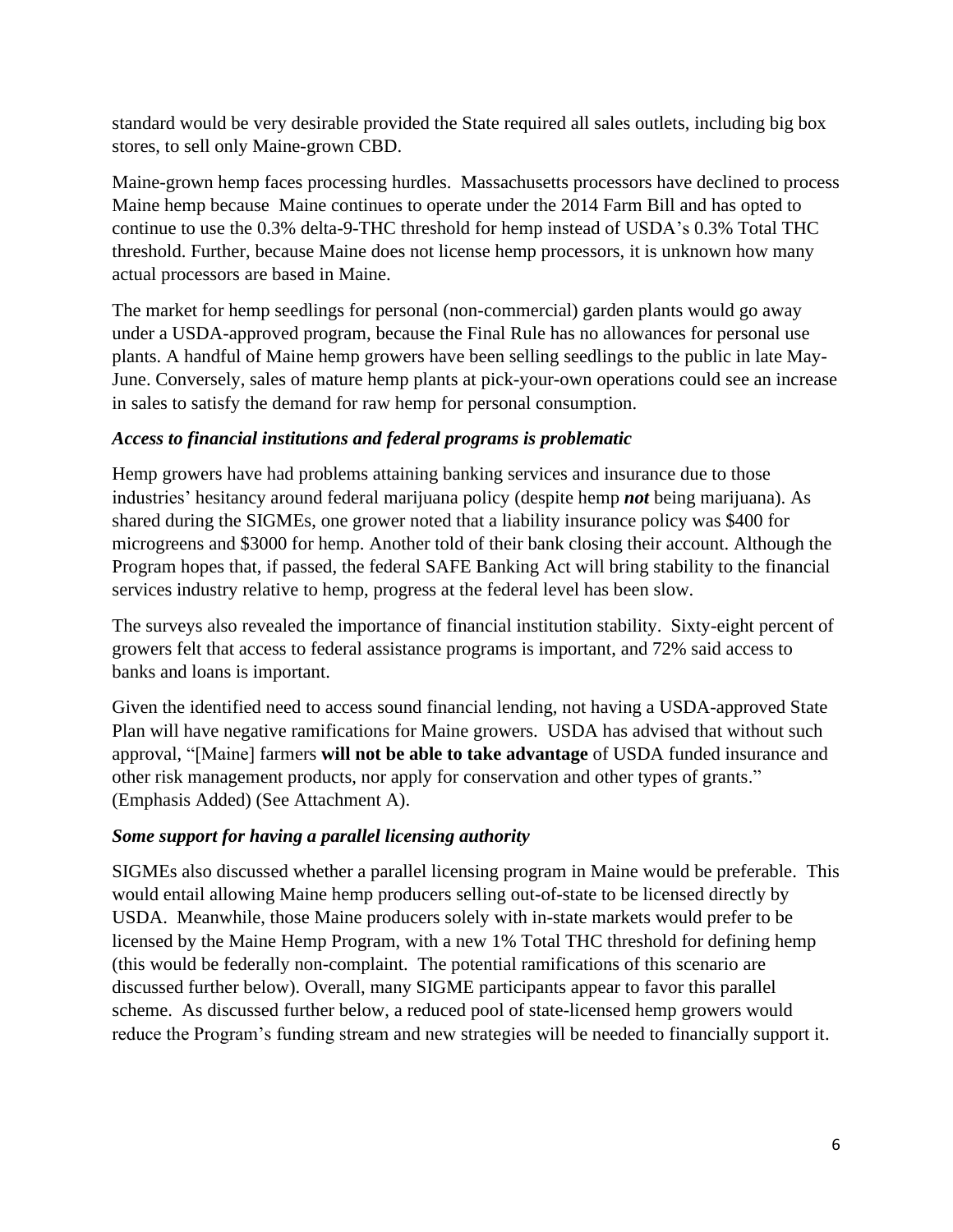standard would be very desirable provided the State required all sales outlets, including big box stores, to sell only Maine-grown CBD.

Maine-grown hemp faces processing hurdles. Massachusetts processors have declined to process Maine hemp because Maine continues to operate under the 2014 Farm Bill and has opted to continue to use the 0.3% delta-9-THC threshold for hemp instead of USDA's 0.3% Total THC threshold. Further, because Maine does not license hemp processors, it is unknown how many actual processors are based in Maine.

The market for hemp seedlings for personal (non-commercial) garden plants would go away under a USDA-approved program, because the Final Rule has no allowances for personal use plants. A handful of Maine hemp growers have been selling seedlings to the public in late May-June. Conversely, sales of mature hemp plants at pick-your-own operations could see an increase in sales to satisfy the demand for raw hemp for personal consumption.

## *Access to financial institutions and federal programs is problematic*

Hemp growers have had problems attaining banking services and insurance due to those industries' hesitancy around federal marijuana policy (despite hemp *not* being marijuana). As shared during the SIGMEs, one grower noted that a liability insurance policy was \$400 for microgreens and \$3000 for hemp. Another told of their bank closing their account. Although the Program hopes that, if passed, the federal SAFE Banking Act will bring stability to the financial services industry relative to hemp, progress at the federal level has been slow.

The surveys also revealed the importance of financial institution stability. Sixty-eight percent of growers felt that access to federal assistance programs is important, and 72% said access to banks and loans is important.

Given the identified need to access sound financial lending, not having a USDA-approved State Plan will have negative ramifications for Maine growers. USDA has advised that without such approval, "[Maine] farmers **will not be able to take advantage** of USDA funded insurance and other risk management products, nor apply for conservation and other types of grants." (Emphasis Added) (See Attachment A).

# *Some support for having a parallel licensing authority*

SIGMEs also discussed whether a parallel licensing program in Maine would be preferable. This would entail allowing Maine hemp producers selling out-of-state to be licensed directly by USDA. Meanwhile, those Maine producers solely with in-state markets would prefer to be licensed by the Maine Hemp Program, with a new 1% Total THC threshold for defining hemp (this would be federally non-complaint. The potential ramifications of this scenario are discussed further below). Overall, many SIGME participants appear to favor this parallel scheme. As discussed further below, a reduced pool of state-licensed hemp growers would reduce the Program's funding stream and new strategies will be needed to financially support it.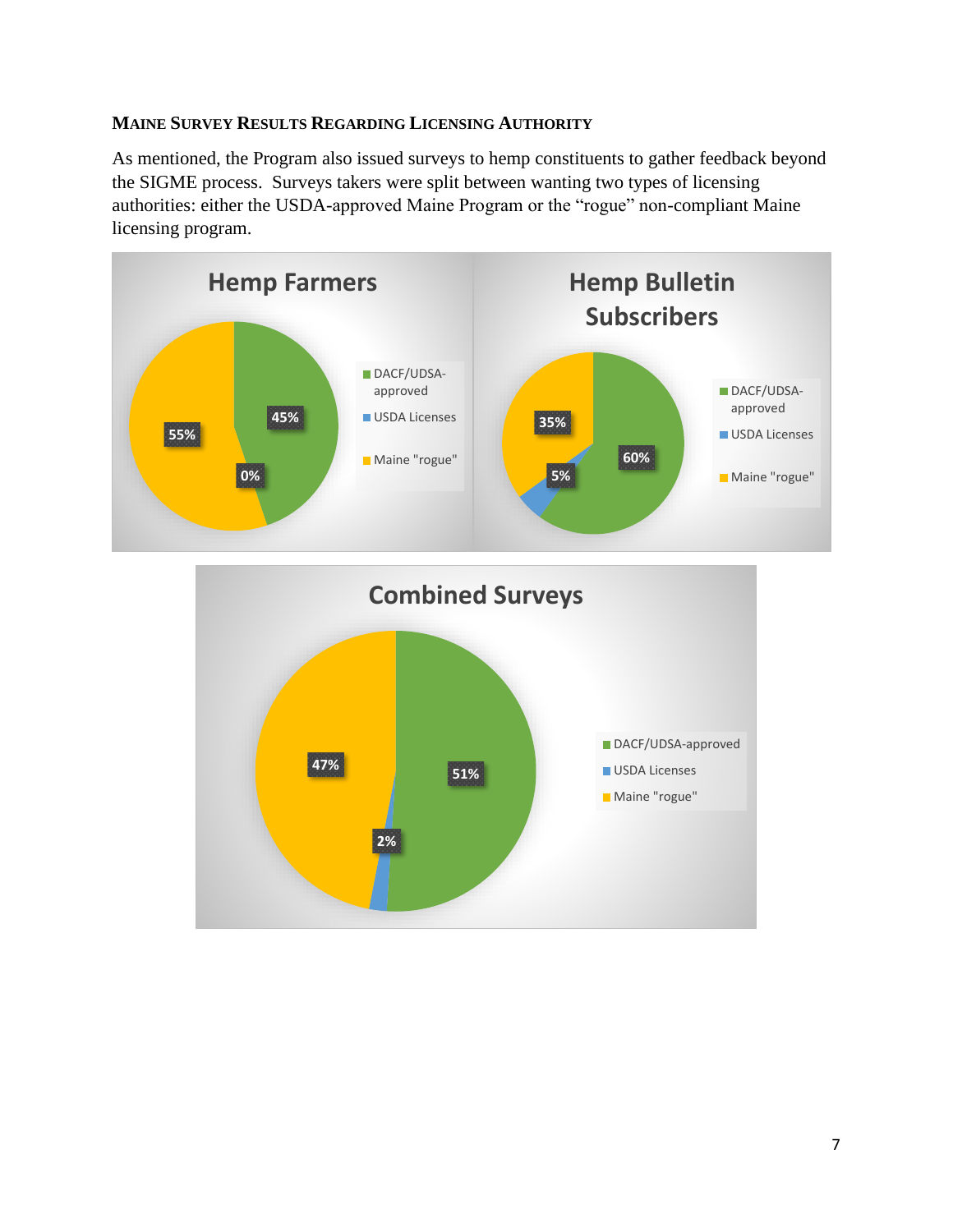### **MAINE SURVEY RESULTS REGARDING LICENSING AUTHORITY**

As mentioned, the Program also issued surveys to hemp constituents to gather feedback beyond the SIGME process. Surveys takers were split between wanting two types of licensing authorities: either the USDA-approved Maine Program or the "rogue" non-compliant Maine licensing program.



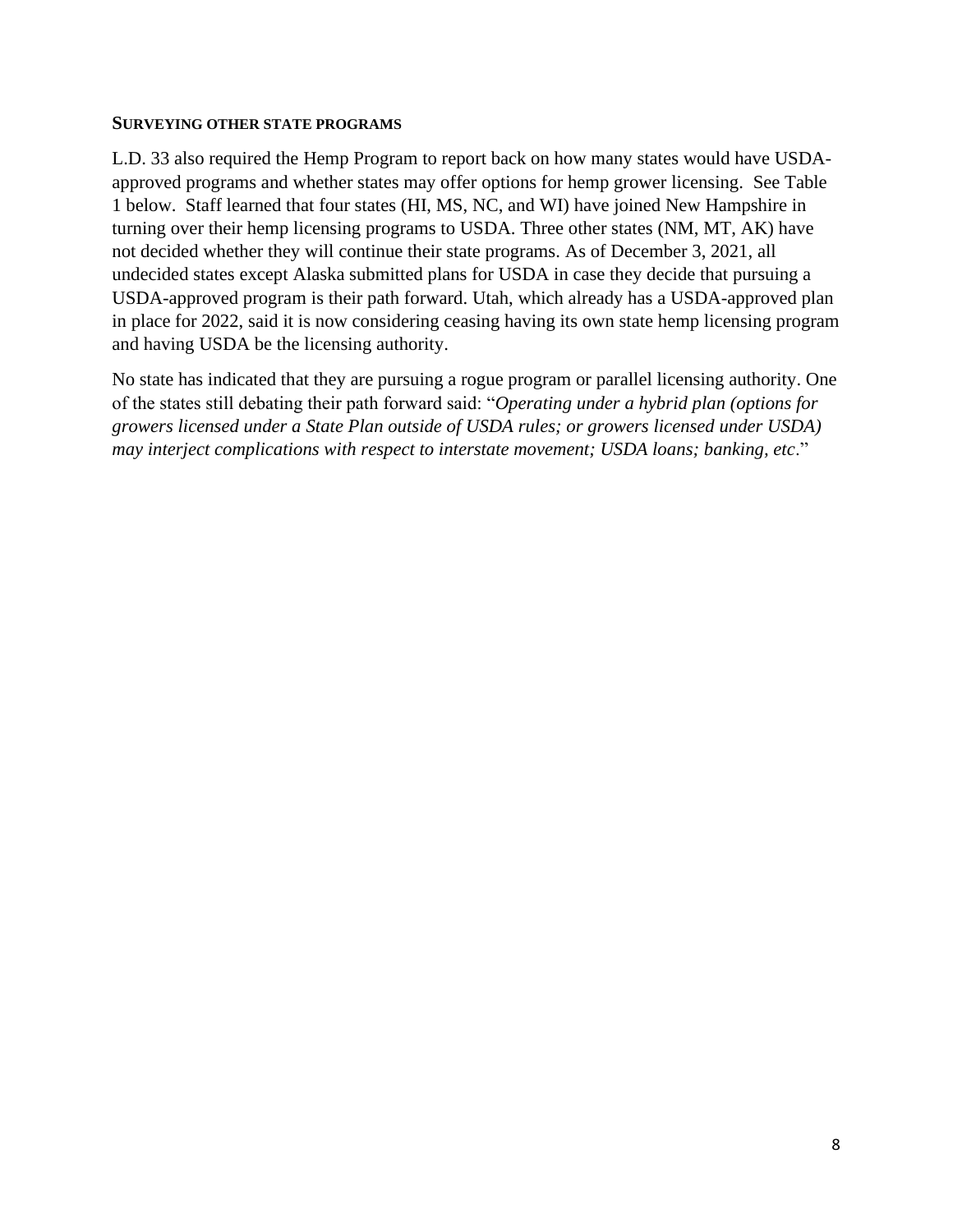#### **SURVEYING OTHER STATE PROGRAMS**

L.D. 33 also required the Hemp Program to report back on how many states would have USDAapproved programs and whether states may offer options for hemp grower licensing. See Table 1 below. Staff learned that four states (HI, MS, NC, and WI) have joined New Hampshire in turning over their hemp licensing programs to USDA. Three other states (NM, MT, AK) have not decided whether they will continue their state programs. As of December 3, 2021, all undecided states except Alaska submitted plans for USDA in case they decide that pursuing a USDA-approved program is their path forward. Utah, which already has a USDA-approved plan in place for 2022, said it is now considering ceasing having its own state hemp licensing program and having USDA be the licensing authority.

No state has indicated that they are pursuing a rogue program or parallel licensing authority. One of the states still debating their path forward said: "*Operating under a hybrid plan (options for growers licensed under a State Plan outside of USDA rules; or growers licensed under USDA) may interject complications with respect to interstate movement; USDA loans; banking, etc*."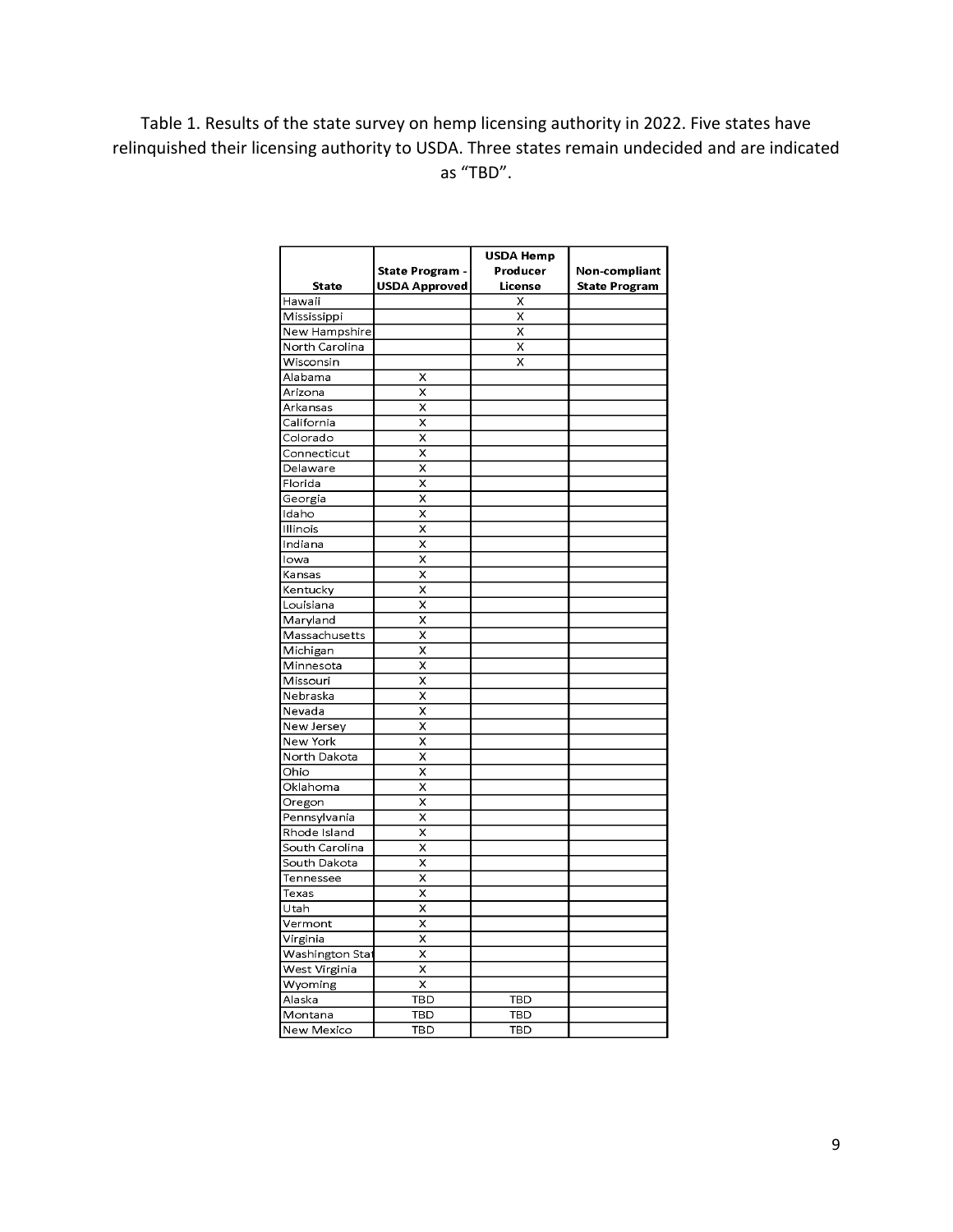# Table 1. Results of the state survey on hemp licensing authority in 2022. Five states have relinquished their licensing authority to USDA. Three states remain undecided and are indicated as "TBD".

|                       |                         | <b>USDA Hemp</b> |                      |
|-----------------------|-------------------------|------------------|----------------------|
|                       | <b>State Program -</b>  | Producer         | Non-compliant        |
| <b>State</b>          | <b>USDA Approved</b>    | License          | <b>State Program</b> |
| Hawaii                |                         | X                |                      |
| Mississippi           |                         | X                |                      |
| New Hampshire         |                         | X                |                      |
| North Carolina        |                         | X                |                      |
| Wisconsin             |                         | X                |                      |
| Alabama               | X                       |                  |                      |
| Arizona               | X                       |                  |                      |
| Arkansas              | X                       |                  |                      |
| California            | X                       |                  |                      |
| Colorado              | X                       |                  |                      |
| Connecticut           | X                       |                  |                      |
| Delaware              | X                       |                  |                      |
| Florida               | X                       |                  |                      |
| Georgia               | X                       |                  |                      |
| Idaho                 | X                       |                  |                      |
| Illinois              | X                       |                  |                      |
| Indiana               | X                       |                  |                      |
| lowa                  | X                       |                  |                      |
| Kansas                | X                       |                  |                      |
| Kentucky              | X                       |                  |                      |
| Louisiana             | X                       |                  |                      |
| Maryland              | X                       |                  |                      |
| Massachusetts         | x                       |                  |                      |
| Michigan              | X                       |                  |                      |
|                       | X                       |                  |                      |
| Minnesota<br>Missouri |                         |                  |                      |
|                       | X                       |                  |                      |
| Nebraska              | X                       |                  |                      |
| Nevada                | X                       |                  |                      |
| New Jersey            | X                       |                  |                      |
| New York              | X                       |                  |                      |
| North Dakota          | X                       |                  |                      |
| Ohio                  | X                       |                  |                      |
| Oklahoma              | X                       |                  |                      |
| Oregon                | X                       |                  |                      |
| Pennsylvania          | X                       |                  |                      |
| Rhode Island          | $\overline{\mathsf{x}}$ |                  |                      |
| South Carolina        | X                       |                  |                      |
| South Dakota          | $\overline{\mathsf{x}}$ |                  |                      |
| Tennessee             | $\overline{\mathsf{x}}$ |                  |                      |
| Texas                 | X                       |                  |                      |
| Utah                  | X                       |                  |                      |
| Vermont               | X                       |                  |                      |
| Virginia              | X                       |                  |                      |
| Washington Stat       | X                       |                  |                      |
| West Virginia         | $\overline{\mathsf{x}}$ |                  |                      |
| Wyoming               | $\overline{\mathsf{x}}$ |                  |                      |
| <u>Alaska</u>         | TBD                     | TBD              |                      |
| Montana               | TBD                     | TBD              |                      |
| <b>New Mexico</b>     | TBD                     | TBD              |                      |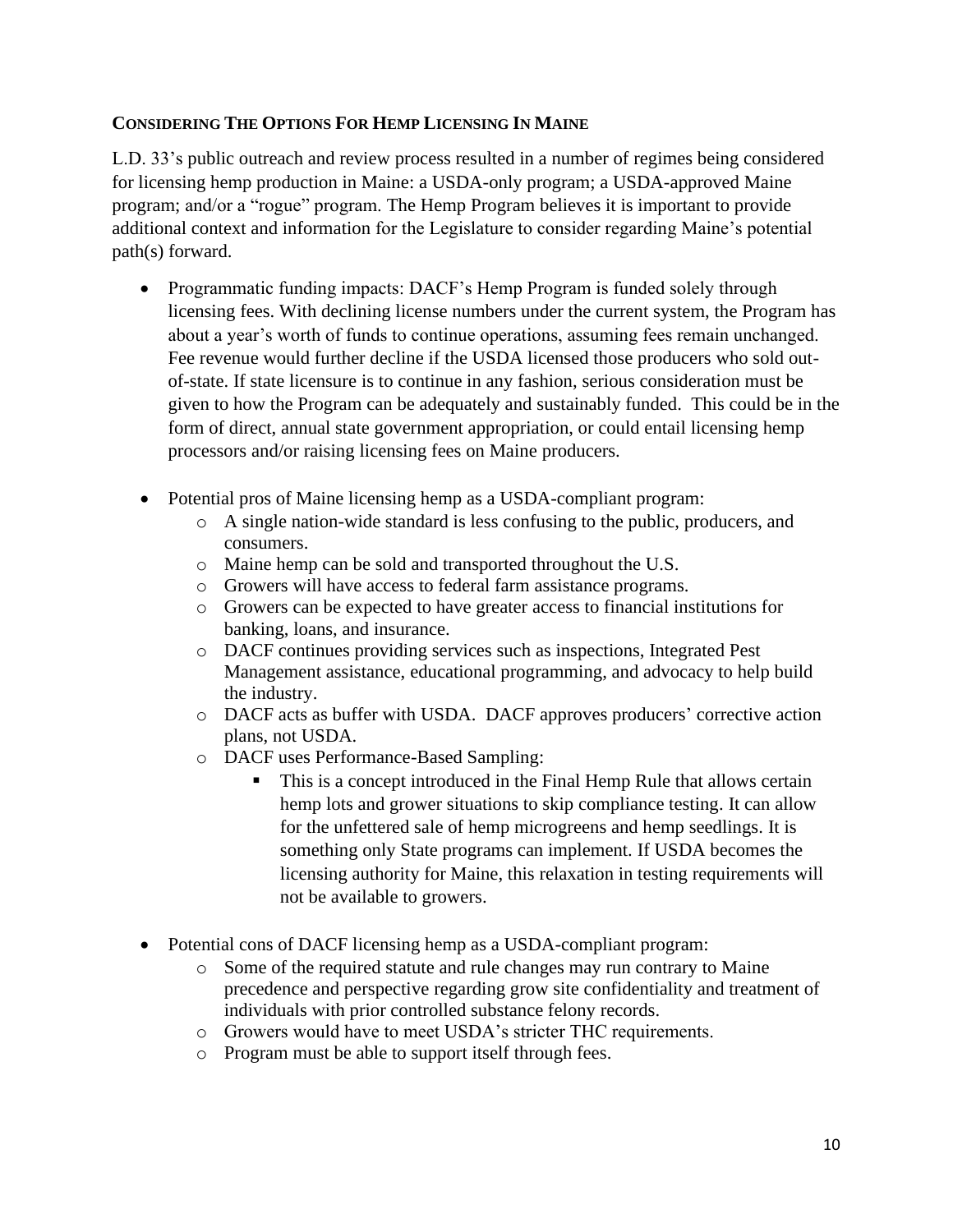### **CONSIDERING THE OPTIONS FOR HEMP LICENSING IN MAINE**

L.D. 33's public outreach and review process resulted in a number of regimes being considered for licensing hemp production in Maine: a USDA-only program; a USDA-approved Maine program; and/or a "rogue" program. The Hemp Program believes it is important to provide additional context and information for the Legislature to consider regarding Maine's potential path(s) forward.

- Programmatic funding impacts: DACF's Hemp Program is funded solely through licensing fees. With declining license numbers under the current system, the Program has about a year's worth of funds to continue operations, assuming fees remain unchanged. Fee revenue would further decline if the USDA licensed those producers who sold outof-state. If state licensure is to continue in any fashion, serious consideration must be given to how the Program can be adequately and sustainably funded. This could be in the form of direct, annual state government appropriation, or could entail licensing hemp processors and/or raising licensing fees on Maine producers.
- Potential pros of Maine licensing hemp as a USDA-compliant program:
	- o A single nation-wide standard is less confusing to the public, producers, and consumers.
	- o Maine hemp can be sold and transported throughout the U.S.
	- o Growers will have access to federal farm assistance programs.
	- o Growers can be expected to have greater access to financial institutions for banking, loans, and insurance.
	- o DACF continues providing services such as inspections, Integrated Pest Management assistance, educational programming, and advocacy to help build the industry.
	- o DACF acts as buffer with USDA. DACF approves producers' corrective action plans, not USDA.
	- o DACF uses Performance-Based Sampling:
		- This is a concept introduced in the Final Hemp Rule that allows certain hemp lots and grower situations to skip compliance testing. It can allow for the unfettered sale of hemp microgreens and hemp seedlings. It is something only State programs can implement. If USDA becomes the licensing authority for Maine, this relaxation in testing requirements will not be available to growers.
- Potential cons of DACF licensing hemp as a USDA-compliant program:
	- o Some of the required statute and rule changes may run contrary to Maine precedence and perspective regarding grow site confidentiality and treatment of individuals with prior controlled substance felony records.
	- o Growers would have to meet USDA's stricter THC requirements.
	- o Program must be able to support itself through fees.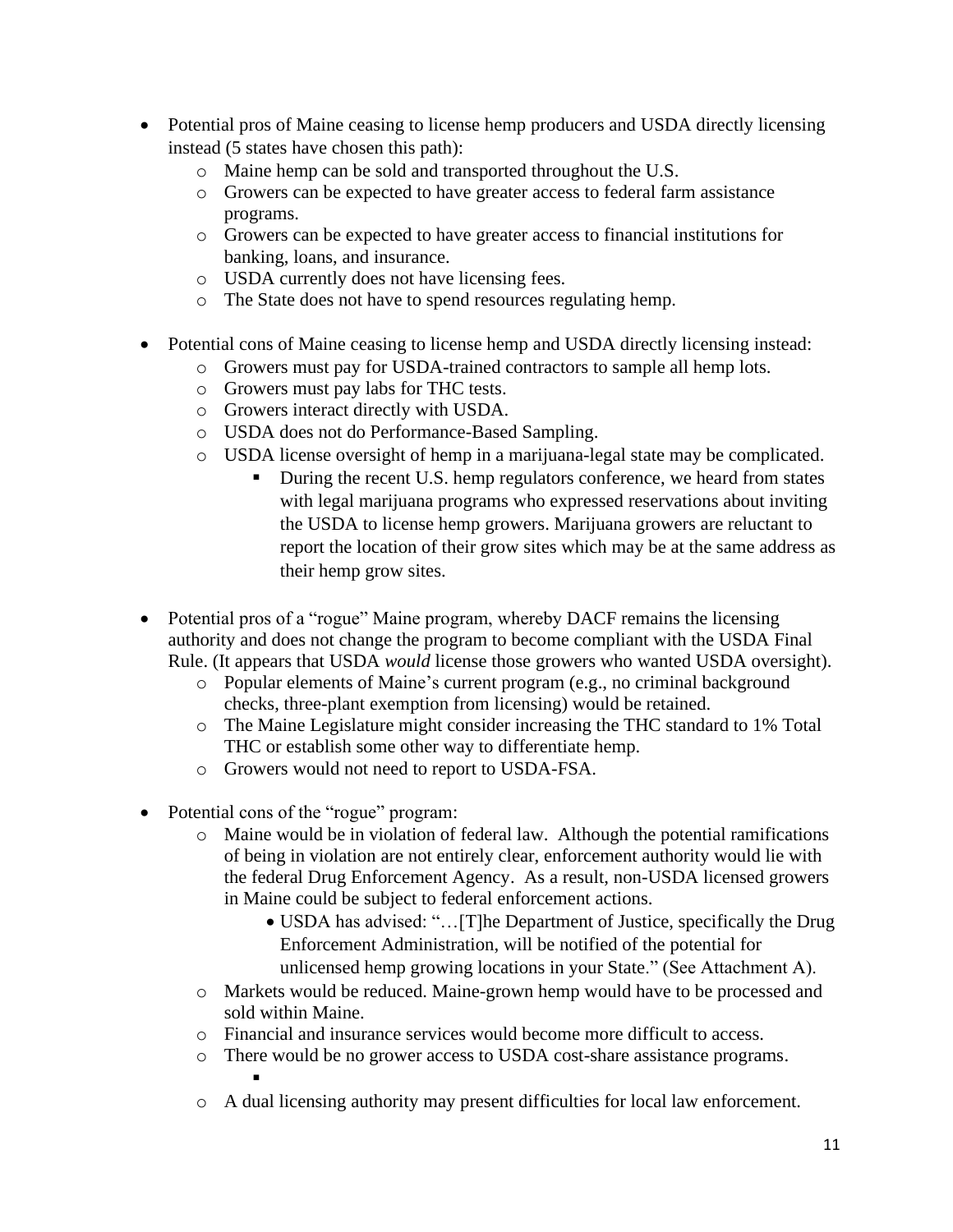- Potential pros of Maine ceasing to license hemp producers and USDA directly licensing instead (5 states have chosen this path):
	- o Maine hemp can be sold and transported throughout the U.S.
	- o Growers can be expected to have greater access to federal farm assistance programs.
	- o Growers can be expected to have greater access to financial institutions for banking, loans, and insurance.
	- o USDA currently does not have licensing fees.
	- o The State does not have to spend resources regulating hemp.
- Potential cons of Maine ceasing to license hemp and USDA directly licensing instead:
	- o Growers must pay for USDA-trained contractors to sample all hemp lots.
	- o Growers must pay labs for THC tests.
	- o Growers interact directly with USDA.
	- o USDA does not do Performance-Based Sampling.
	- o USDA license oversight of hemp in a marijuana-legal state may be complicated.
		- During the recent U.S. hemp regulators conference, we heard from states with legal marijuana programs who expressed reservations about inviting the USDA to license hemp growers. Marijuana growers are reluctant to report the location of their grow sites which may be at the same address as their hemp grow sites.
- Potential pros of a "rogue" Maine program, whereby DACF remains the licensing authority and does not change the program to become compliant with the USDA Final Rule. (It appears that USDA *would* license those growers who wanted USDA oversight).
	- o Popular elements of Maine's current program (e.g., no criminal background checks, three-plant exemption from licensing) would be retained.
	- o The Maine Legislature might consider increasing the THC standard to 1% Total THC or establish some other way to differentiate hemp.
	- o Growers would not need to report to USDA-FSA.
- Potential cons of the "rogue" program:
	- o Maine would be in violation of federal law. Although the potential ramifications of being in violation are not entirely clear, enforcement authority would lie with the federal Drug Enforcement Agency. As a result, non-USDA licensed growers in Maine could be subject to federal enforcement actions.
		- USDA has advised: "... [T]he Department of Justice, specifically the Drug Enforcement Administration, will be notified of the potential for unlicensed hemp growing locations in your State." (See Attachment A).
	- o Markets would be reduced. Maine-grown hemp would have to be processed and sold within Maine.
	- o Financial and insurance services would become more difficult to access.
	- o There would be no grower access to USDA cost-share assistance programs. ▪
	- o A dual licensing authority may present difficulties for local law enforcement.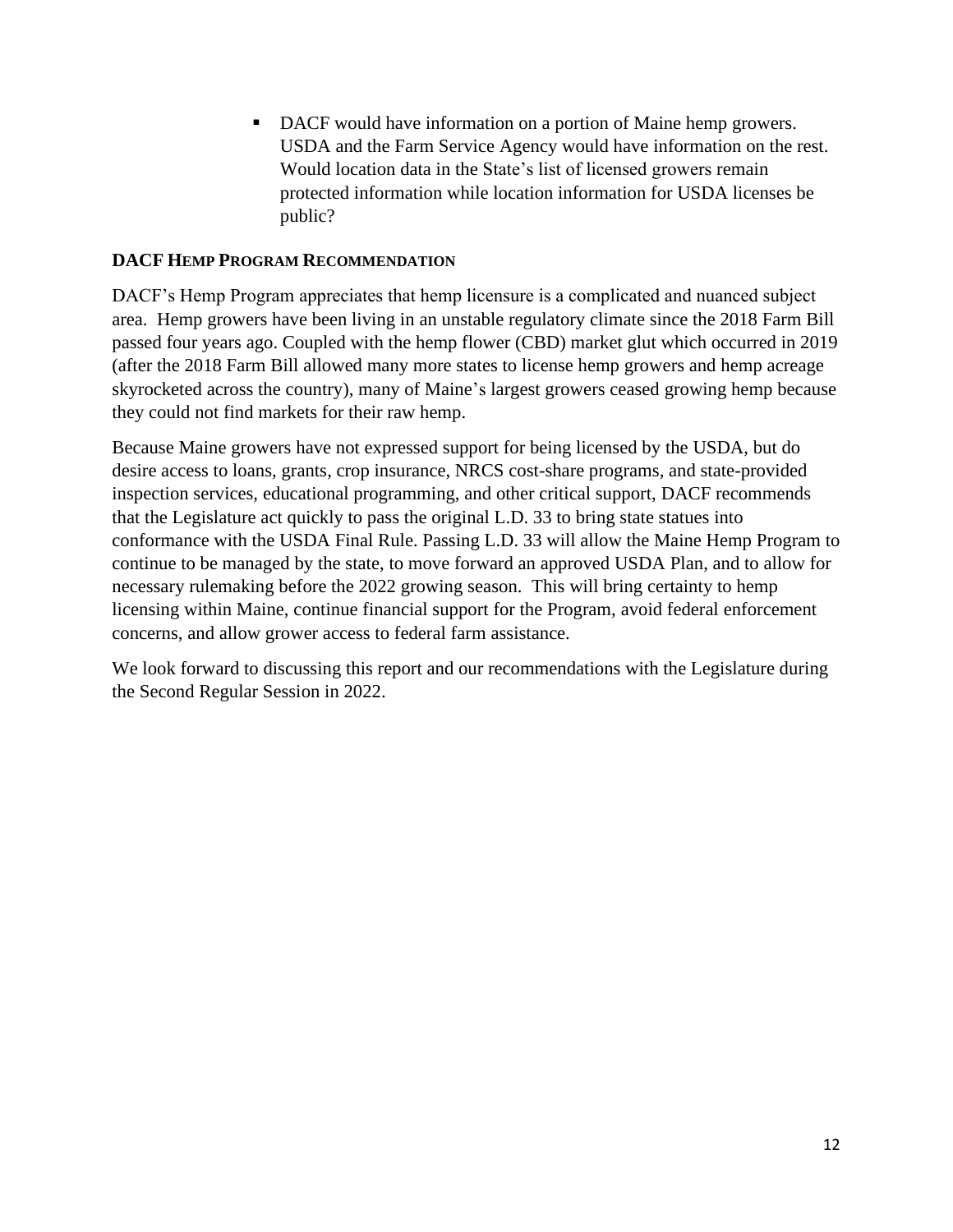■ DACF would have information on a portion of Maine hemp growers. USDA and the Farm Service Agency would have information on the rest. Would location data in the State's list of licensed growers remain protected information while location information for USDA licenses be public?

#### **DACF HEMP PROGRAM RECOMMENDATION**

DACF's Hemp Program appreciates that hemp licensure is a complicated and nuanced subject area. Hemp growers have been living in an unstable regulatory climate since the 2018 Farm Bill passed four years ago. Coupled with the hemp flower (CBD) market glut which occurred in 2019 (after the 2018 Farm Bill allowed many more states to license hemp growers and hemp acreage skyrocketed across the country), many of Maine's largest growers ceased growing hemp because they could not find markets for their raw hemp.

Because Maine growers have not expressed support for being licensed by the USDA, but do desire access to loans, grants, crop insurance, NRCS cost-share programs, and state-provided inspection services, educational programming, and other critical support, DACF recommends that the Legislature act quickly to pass the original L.D. 33 to bring state statues into conformance with the USDA Final Rule. Passing L.D. 33 will allow the Maine Hemp Program to continue to be managed by the state, to move forward an approved USDA Plan, and to allow for necessary rulemaking before the 2022 growing season. This will bring certainty to hemp licensing within Maine, continue financial support for the Program, avoid federal enforcement concerns, and allow grower access to federal farm assistance.

We look forward to discussing this report and our recommendations with the Legislature during the Second Regular Session in 2022.